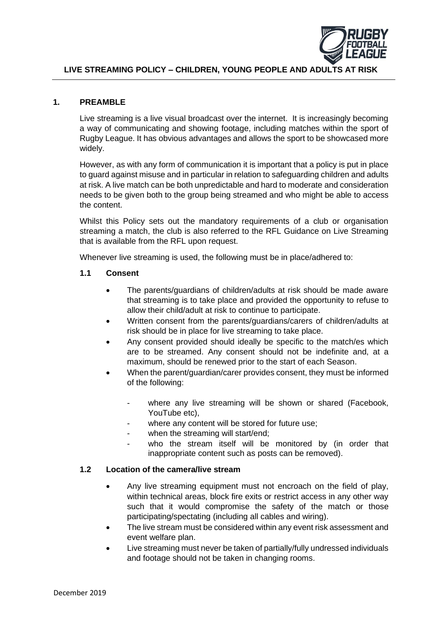

## **LIVE STREAMING POLICY – CHILDREN, YOUNG PEOPLE AND ADULTS AT RISK**

### **1. PREAMBLE**

Live streaming is a live visual broadcast over the internet. It is increasingly becoming a way of communicating and showing footage, including matches within the sport of Rugby League. It has obvious advantages and allows the sport to be showcased more widely.

However, as with any form of communication it is important that a policy is put in place to guard against misuse and in particular in relation to safeguarding children and adults at risk. A live match can be both unpredictable and hard to moderate and consideration needs to be given both to the group being streamed and who might be able to access the content.

Whilst this Policy sets out the mandatory requirements of a club or organisation streaming a match, the club is also referred to the RFL Guidance on Live Streaming that is available from the RFL upon request.

Whenever live streaming is used, the following must be in place/adhered to:

### **1.1 Consent**

- The parents/guardians of children/adults at risk should be made aware that streaming is to take place and provided the opportunity to refuse to allow their child/adult at risk to continue to participate.
- Written consent from the parents/guardians/carers of children/adults at risk should be in place for live streaming to take place.
- Any consent provided should ideally be specific to the match/es which are to be streamed. Any consent should not be indefinite and, at a maximum, should be renewed prior to the start of each Season.
- When the parent/guardian/carer provides consent, they must be informed of the following:
	- where any live streaming will be shown or shared (Facebook, YouTube etc),
	- where any content will be stored for future use;
	- when the streaming will start/end;
	- who the stream itself will be monitored by (in order that inappropriate content such as posts can be removed).

#### **1.2 Location of the camera/live stream**

- Any live streaming equipment must not encroach on the field of play, within technical areas, block fire exits or restrict access in any other way such that it would compromise the safety of the match or those participating/spectating (including all cables and wiring).
- The live stream must be considered within any event risk assessment and event welfare plan.
- Live streaming must never be taken of partially/fully undressed individuals and footage should not be taken in changing rooms.